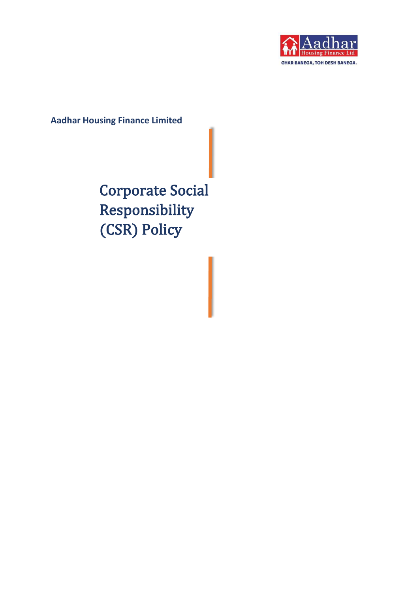

**Aadhar Housing Finance Limited** 

Corporate Social Responsibility (CSR) Policy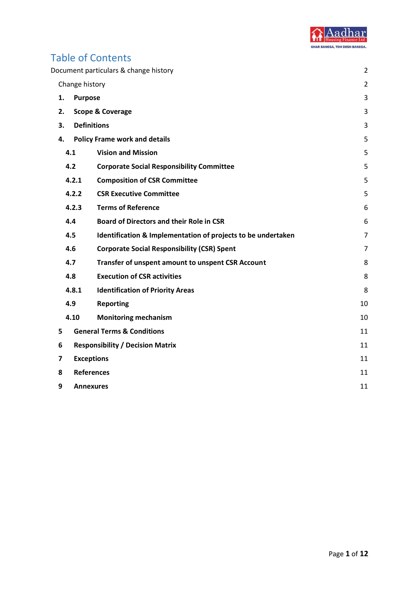

## Table of Contents

|                |                   | Document particulars & change history                        | 2              |  |
|----------------|-------------------|--------------------------------------------------------------|----------------|--|
|                | Change history    |                                                              | $\overline{2}$ |  |
| 1.             | <b>Purpose</b>    |                                                              | 3              |  |
| 2.             |                   | <b>Scope &amp; Coverage</b>                                  | 3              |  |
| 3.             |                   | <b>Definitions</b>                                           | 3              |  |
| 4.             |                   | <b>Policy Frame work and details</b>                         | 5              |  |
|                | 4.1               | <b>Vision and Mission</b>                                    | 5              |  |
|                | 4.2               | <b>Corporate Social Responsibility Committee</b>             | 5              |  |
|                | 4.2.1             | <b>Composition of CSR Committee</b>                          | 5              |  |
|                | 4.2.2             | <b>CSR Executive Committee</b>                               | 5              |  |
|                | 4.2.3             | <b>Terms of Reference</b>                                    | 6              |  |
|                | 4.4               | <b>Board of Directors and their Role in CSR</b>              | 6              |  |
|                | 4.5               | Identification & Implementation of projects to be undertaken | $\overline{7}$ |  |
|                | 4.6               | <b>Corporate Social Responsibility (CSR) Spent</b>           | $\overline{7}$ |  |
|                | 4.7               | Transfer of unspent amount to unspent CSR Account            | 8              |  |
|                | 4.8               | <b>Execution of CSR activities</b>                           | 8              |  |
|                | 4.8.1             | <b>Identification of Priority Areas</b>                      | 8              |  |
|                | 4.9               | <b>Reporting</b>                                             | 10             |  |
|                | 4.10              | <b>Monitoring mechanism</b>                                  | 10             |  |
| 5              |                   | <b>General Terms &amp; Conditions</b>                        | 11             |  |
| 6              |                   | <b>Responsibility / Decision Matrix</b>                      |                |  |
| $\overline{ }$ | <b>Exceptions</b> |                                                              |                |  |
| 8              | <b>References</b> |                                                              |                |  |
| 9              |                   | <b>Annexures</b>                                             | 11             |  |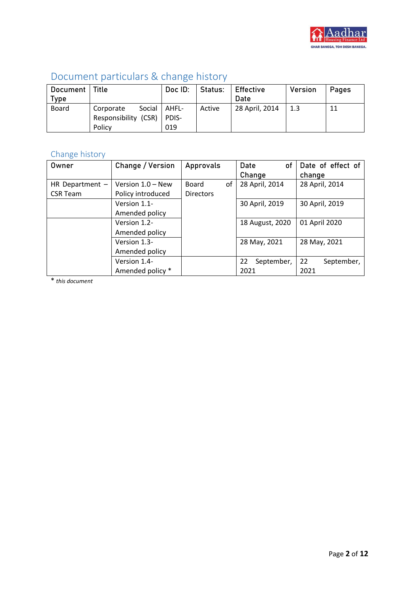

| DOCUMPHIC Dal ticulars & Change History |                             |         |         |                |         |       |
|-----------------------------------------|-----------------------------|---------|---------|----------------|---------|-------|
| Document   Title                        |                             | Doc ID: | Status: | l Effective    | Version | Pages |
| Type                                    |                             |         |         | Date           |         |       |
| Board                                   | Social   AHFL-<br>Corporate |         | Active  | 28 April, 2014 | 1.3     | 11    |
|                                         | Responsibility (CSR)        | PDIS-   |         |                |         |       |
|                                         | Policy                      | 019     |         |                |         |       |

# <span id="page-2-0"></span>Document particulars & change history

# <span id="page-2-1"></span>Change history

| Owner             | Change / Version    | Approvals          | Date<br>0f       | Date of effect of |
|-------------------|---------------------|--------------------|------------------|-------------------|
|                   |                     |                    | Change           | change            |
| HR Department $-$ | Version $1.0 - New$ | of<br><b>Board</b> | 28 April, 2014   | 28 April, 2014    |
| <b>CSR Team</b>   | Policy introduced   | <b>Directors</b>   |                  |                   |
|                   | Version 1.1-        |                    | 30 April, 2019   | 30 April, 2019    |
|                   | Amended policy      |                    |                  |                   |
|                   | Version 1.2-        |                    | 18 August, 2020  | 01 April 2020     |
|                   | Amended policy      |                    |                  |                   |
|                   | Version 1.3-        |                    | 28 May, 2021     | 28 May, 2021      |
|                   | Amended policy      |                    |                  |                   |
|                   | Version 1.4-        |                    | September,<br>22 | 22<br>September,  |
|                   | Amended policy *    |                    | 2021             | 2021              |

\* *this document*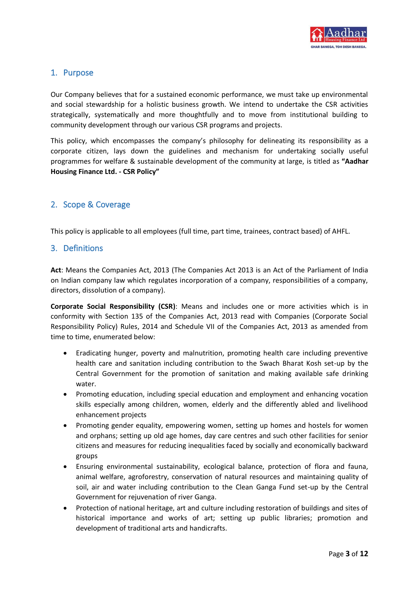

## <span id="page-3-0"></span>1. Purpose

Our Company believes that for a sustained economic performance, we must take up environmental and social stewardship for a holistic business growth. We intend to undertake the CSR activities strategically, systematically and more thoughtfully and to move from institutional building to community development through our various CSR programs and projects.

This policy, which encompasses the company's philosophy for delineating its responsibility as a corporate citizen, lays down the guidelines and mechanism for undertaking socially useful programmes for welfare & sustainable development of the community at large, is titled as **"Aadhar Housing Finance Ltd. - CSR Policy"**

## <span id="page-3-1"></span>2. Scope & Coverage

This policy is applicable to all employees (full time, part time, trainees, contract based) of AHFL.

## <span id="page-3-2"></span>3. Definitions

**Act**: Means the Companies Act, 2013 (The Companies Act 2013 is an Act of the Parliament of India on Indian company law which regulates incorporation of a company, responsibilities of a company, directors, dissolution of a company).

**Corporate Social Responsibility (CSR)**: Means and includes one or more activities which is in conformity with Section 135 of the Companies Act, 2013 read with Companies (Corporate Social Responsibility Policy) Rules, 2014 and Schedule VII of the Companies Act, 2013 as amended from time to time, enumerated below:

- Eradicating hunger, poverty and malnutrition, promoting health care including preventive health care and sanitation including contribution to the Swach Bharat Kosh set-up by the Central Government for the promotion of sanitation and making available safe drinking water.
- Promoting education, including special education and employment and enhancing vocation skills especially among children, women, elderly and the differently abled and livelihood enhancement projects
- Promoting gender equality, empowering women, setting up homes and hostels for women and orphans; setting up old age homes, day care centres and such other facilities for senior citizens and measures for reducing inequalities faced by socially and economically backward groups
- Ensuring environmental sustainability, ecological balance, protection of flora and fauna, animal welfare, agroforestry, conservation of natural resources and maintaining quality of soil, air and water including contribution to the Clean Ganga Fund set-up by the Central Government for rejuvenation of river Ganga.
- Protection of national heritage, art and culture including restoration of buildings and sites of historical importance and works of art; setting up public libraries; promotion and development of traditional arts and handicrafts.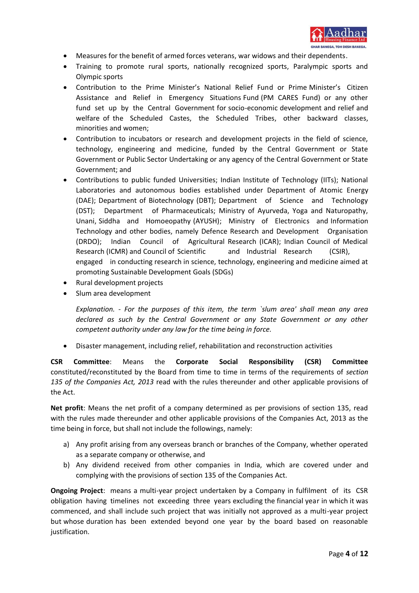

- Measures for the benefit of armed forces veterans, war widows and their dependents.
- Training to promote rural sports, nationally recognized sports, Paralympic sports and Olympic sports
- Contribution to the Prime Minister's National Relief Fund or Prime Minister's Citizen Assistance and Relief in Emergency Situations Fund (PM CARES Fund) or any other fund set up by the Central Government for socio-economic development and relief and welfare of the Scheduled Castes, the Scheduled Tribes, other backward classes, minorities and women;
- Contribution to incubators or research and development projects in the field of science, technology, engineering and medicine, funded by the Central Government or State Government or Public Sector Undertaking or any agency of the Central Government or State Government; and
- Contributions to public funded Universities; Indian Institute of Technology (IITs); National Laboratories and autonomous bodies established under Department of Atomic Energy (DAE); Department of Biotechnology (DBT); Department of Science and Technology (DST); Department of Pharmaceuticals; Ministry of Ayurveda, Yoga and Naturopathy, Unani, Siddha and Homoeopathy (AYUSH); Ministry of Electronics and Information Technology and other bodies, namely Defence Research and Development Organisation (DRDO); Indian Council of Agricultural Research (ICAR); Indian Council of Medical Research (ICMR) and Council of Scientific and Industrial Research (CSIR), engaged in conducting research in science, technology, engineering and medicine aimed at promoting Sustainable Development Goals (SDGs)
- Rural development projects
- Slum area development

*Explanation. - For the purposes of this item, the term `slum area' shall mean any area declared as such by the Central Government or any State Government or any other competent authority under any law for the time being in force.*

• Disaster management, including relief, rehabilitation and reconstruction activities

**CSR Committee**: Means the **Corporate Social Responsibility (CSR) Committee** constituted/reconstituted by the Board from time to time in terms of the requirements of *section 135 of the Companies Act, 2013* read with the rules thereunder and other applicable provisions of the Act.

**Net profit**: Means the net profit of a company determined as per provisions of section 135, read with the rules made thereunder and other applicable provisions of the Companies Act, 2013 as the time being in force, but shall not include the followings, namely:

- a) Any profit arising from any overseas branch or branches of the Company, whether operated as a separate company or otherwise, and
- b) Any dividend received from other companies in India, which are covered under and complying with the provisions of section 135 of the Companies Act.

**Ongoing Project**: means a multi-year project undertaken by a Company in fulfilment of its CSR obligation having timelines not exceeding three years excluding the financial year in which it was commenced, and shall include such project that was initially not approved as a multi-year project but whose duration has been extended beyond one year by the board based on reasonable justification.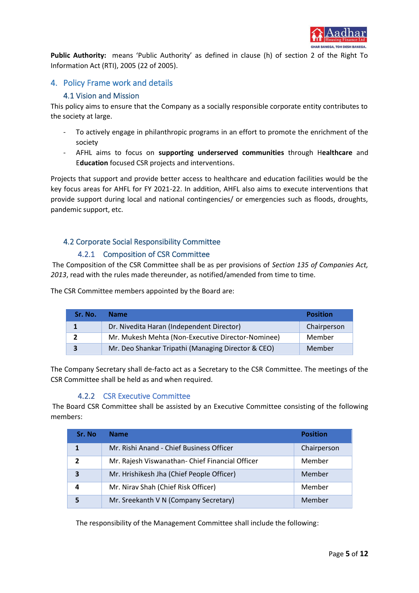

**Public Authority:** means 'Public Authority' as defined in clause (h) of section 2 of the Right To Information Act (RTI), 2005 (22 of 2005).

## <span id="page-5-1"></span><span id="page-5-0"></span>4. Policy Frame work and details

## 4.1 Vision and Mission

This policy aims to ensure that the Company as a socially responsible corporate entity contributes to the society at large.

- To actively engage in philanthropic programs in an effort to promote the enrichment of the society
- AFHL aims to focus on **supporting underserved communities** through H**ealthcare** and E**ducation** focused CSR projects and interventions.

Projects that support and provide better access to healthcare and education facilities would be the key focus areas for AHFL for FY 2021-22. In addition, AHFL also aims to execute interventions that provide support during local and national contingencies/ or emergencies such as floods, droughts, pandemic support, etc.

## <span id="page-5-2"></span>4.2 Corporate Social Responsibility Committee

#### 4.2.1 Composition of CSR Committee

<span id="page-5-3"></span>The Composition of the CSR Committee shall be as per provisions of *Section 135 of Companies Act, 2013*, read with the rules made thereunder, as notified/amended from time to time.

The CSR Committee members appointed by the Board are:

| Sr. No. | <b>Name</b>                                        | <b>Position</b> |
|---------|----------------------------------------------------|-----------------|
|         | Dr. Nivedita Haran (Independent Director)          | Chairperson     |
|         | Mr. Mukesh Mehta (Non-Executive Director-Nominee)  | Member          |
| 3       | Mr. Deo Shankar Tripathi (Managing Director & CEO) | Member          |

The Company Secretary shall de-facto act as a Secretary to the CSR Committee. The meetings of the CSR Committee shall be held as and when required.

#### 4.2.2 CSR Executive Committee

<span id="page-5-4"></span>The Board CSR Committee shall be assisted by an Executive Committee consisting of the following members:

| Sr. No         | <b>Name</b>                                     | <b>Position</b> |
|----------------|-------------------------------------------------|-----------------|
| 1              | Mr. Rishi Anand - Chief Business Officer        | Chairperson     |
| $\overline{2}$ | Mr. Rajesh Viswanathan- Chief Financial Officer | Member          |
| 3              | Mr. Hrishikesh Jha (Chief People Officer)       | Member          |
| 4              | Mr. Nirav Shah (Chief Risk Officer)             | Member          |
| 5              | Mr. Sreekanth V N (Company Secretary)           | Member          |

The responsibility of the Management Committee shall include the following: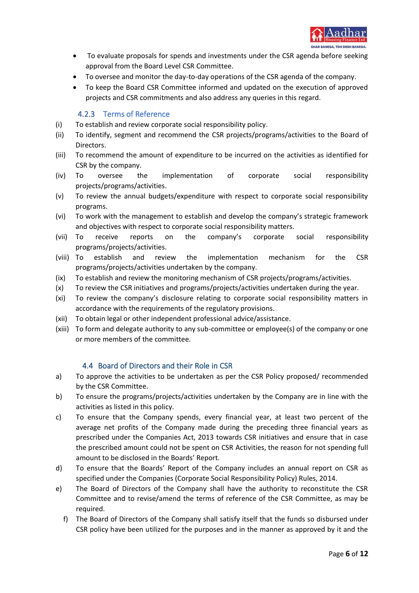

- To evaluate proposals for spends and investments under the CSR agenda before seeking approval from the Board Level CSR Committee.
- To oversee and monitor the day-to-day operations of the CSR agenda of the company.
- To keep the Board CSR Committee informed and updated on the execution of approved projects and CSR commitments and also address any queries in this regard.

### 4.2.3 Terms of Reference

- <span id="page-6-0"></span>(i) To establish and review corporate social responsibility policy.
- (ii) To identify, segment and recommend the CSR projects/programs/activities to the Board of Directors.
- (iii) To recommend the amount of expenditure to be incurred on the activities as identified for CSR by the company.
- (iv) To oversee the implementation of corporate social responsibility projects/programs/activities.
- (v) To review the annual budgets/expenditure with respect to corporate social responsibility programs.
- (vi) To work with the management to establish and develop the company's strategic framework and objectives with respect to corporate social responsibility matters.
- (vii) To receive reports on the company's corporate social responsibility programs/projects/activities.
- (viii) To establish and review the implementation mechanism for the CSR programs/projects/activities undertaken by the company.
- (ix) To establish and review the monitoring mechanism of CSR projects/programs/activities.
- (x) To review the CSR initiatives and programs/projects/activities undertaken during the year.
- (xi) To review the company's disclosure relating to corporate social responsibility matters in accordance with the requirements of the regulatory provisions.
- (xii) To obtain legal or other independent professional advice/assistance.
- (xiii) To form and delegate authority to any sub-committee or employee(s) of the company or one or more members of the committee.

#### 4.4 Board of Directors and their Role in CSR

- <span id="page-6-1"></span>a) To approve the activities to be undertaken as per the CSR Policy proposed/ recommended by the CSR Committee.
- b) To ensure the programs/projects/activities undertaken by the Company are in line with the activities as listed in this policy.
- c) To ensure that the Company spends, every financial year, at least two percent of the average net profits of the Company made during the preceding three financial years as prescribed under the Companies Act, 2013 towards CSR initiatives and ensure that in case the prescribed amount could not be spent on CSR Activities, the reason for not spending full amount to be disclosed in the Boards' Report.
- d) To ensure that the Boards' Report of the Company includes an annual report on CSR as specified under the Companies (Corporate Social Responsibility Policy) Rules, 2014.
- e) The Board of Directors of the Company shall have the authority to reconstitute the CSR Committee and to revise/amend the terms of reference of the CSR Committee, as may be required.
	- f) The Board of Directors of the Company shall satisfy itself that the funds so disbursed under CSR policy have been utilized for the purposes and in the manner as approved by it and the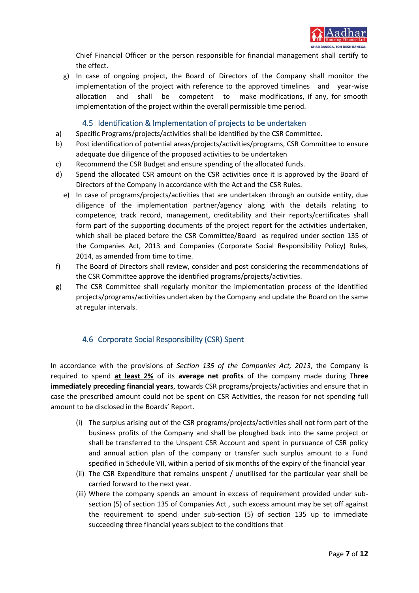

Chief Financial Officer or the person responsible for financial management shall certify to the effect.

g) In case of ongoing project, the Board of Directors of the Company shall monitor the implementation of the project with reference to the approved timelines and year-wise allocation and shall be competent to make modifications, if any, for smooth implementation of the project within the overall permissible time period.

## 4.5 Identification & Implementation of projects to be undertaken

- <span id="page-7-0"></span>a) Specific Programs/projects/activities shall be identified by the CSR Committee.
- b) Post identification of potential areas/projects/activities/programs, CSR Committee to ensure adequate due diligence of the proposed activities to be undertaken
- c) Recommend the CSR Budget and ensure spending of the allocated funds.
- d) Spend the allocated CSR amount on the CSR activities once it is approved by the Board of Directors of the Company in accordance with the Act and the CSR Rules.
	- e) In case of programs/projects/activities that are undertaken through an outside entity, due diligence of the implementation partner/agency along with the details relating to competence, track record, management, creditability and their reports/certificates shall form part of the supporting documents of the project report for the activities undertaken, which shall be placed before the CSR Committee/Board as required under section 135 of the Companies Act, 2013 and Companies (Corporate Social Responsibility Policy) Rules, 2014, as amended from time to time.
- f) The Board of Directors shall review, consider and post considering the recommendations of the CSR Committee approve the identified programs/projects/activities.
- g) The CSR Committee shall regularly monitor the implementation process of the identified projects/programs/activities undertaken by the Company and update the Board on the same at regular intervals.

## 4.6 Corporate Social Responsibility (CSR) Spent

<span id="page-7-1"></span>In accordance with the provisions of *Section 135 of the Companies Act, 2013*, the Company is required to spend **at least 2%** of its **average net profits** of the company made during T**hree immediately preceding financial years**, towards CSR programs/projects/activities and ensure that in case the prescribed amount could not be spent on CSR Activities, the reason for not spending full amount to be disclosed in the Boards' Report.

- (i) The surplus arising out of the CSR programs/projects/activities shall not form part of the business profits of the Company and shall be ploughed back into the same project or shall be transferred to the Unspent CSR Account and spent in pursuance of CSR policy and annual action plan of the company or transfer such surplus amount to a Fund specified in Schedule VII, within a period of six months of the expiry of the financial year
- (ii) The CSR Expenditure that remains unspent / unutilised for the particular year shall be carried forward to the next year.
- (iii) Where the company spends an amount in excess of requirement provided under subsection (5) of section 135 of Companies Act , such excess amount may be set off against the requirement to spend under sub-section (5) of section 135 up to immediate succeeding three financial years subject to the conditions that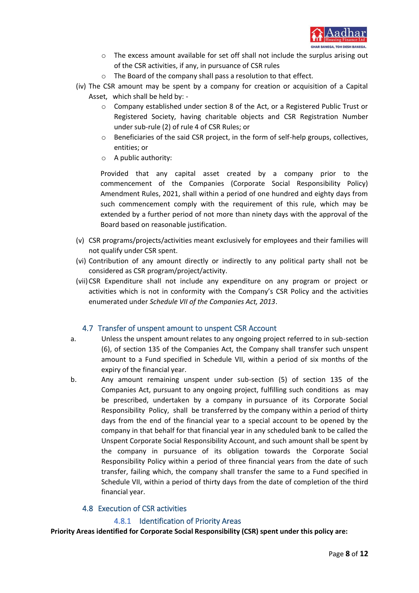

- $\circ$  The excess amount available for set off shall not include the surplus arising out of the CSR activities, if any, in pursuance of CSR rules
- o The Board of the company shall pass a resolution to that effect.
- (iv) The CSR amount may be spent by a company for creation or acquisition of a Capital Asset, which shall be held by:
	- o Company established under section 8 of the Act, or a Registered Public Trust or Registered Society, having charitable objects and CSR Registration Number under sub-rule (2) of rule 4 of CSR Rules; or
	- o Beneficiaries of the said CSR project, in the form of self-help groups, collectives, entities; or
	- o A public authority:

Provided that any capital asset created by a company prior to the commencement of the Companies (Corporate Social Responsibility Policy) Amendment Rules, 2021, shall within a period of one hundred and eighty days from such commencement comply with the requirement of this rule, which may be extended by a further period of not more than ninety days with the approval of the Board based on reasonable justification.

- (v) CSR programs/projects/activities meant exclusively for employees and their families will not qualify under CSR spent.
- (vi) Contribution of any amount directly or indirectly to any political party shall not be considered as CSR program/project/activity.
- (vii)CSR Expenditure shall not include any expenditure on any program or project or activities which is not in conformity with the Company's CSR Policy and the activities enumerated under *Schedule VII of the Companies Act, 2013*.

#### 4.7 Transfer of unspent amount to unspent CSR Account

- <span id="page-8-0"></span>a. Unless the unspent amount relates to any ongoing project referred to in sub-section (6), of section 135 of the Companies Act, the Company shall transfer such unspent amount to a Fund specified in Schedule VII, within a period of six months of the expiry of the financial year.
- b. Any amount remaining unspent under sub-section (5) of section 135 of the Companies Act, pursuant to any ongoing project, fulfilling such conditions as may be prescribed, undertaken by a company in pursuance of its Corporate Social Responsibility Policy, shall be transferred by the company within a period of thirty days from the end of the financial year to a special account to be opened by the company in that behalf for that financial year in any scheduled bank to be called the Unspent Corporate Social Responsibility Account, and such amount shall be spent by the company in pursuance of its obligation towards the Corporate Social Responsibility Policy within a period of three financial years from the date of such transfer, failing which, the company shall transfer the same to a Fund specified in Schedule VII, within a period of thirty days from the date of completion of the third financial year.

#### 4.8 Execution of CSR activities

#### 4.8.1 Identification of Priority Areas

<span id="page-8-2"></span><span id="page-8-1"></span>**Priority Areas identified for Corporate Social Responsibility (CSR) spent under this policy are:**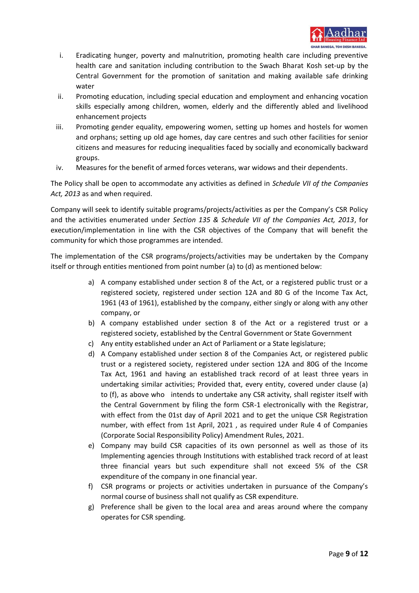

- i. Eradicating hunger, poverty and malnutrition, promoting health care including preventive health care and sanitation including contribution to the Swach Bharat Kosh set-up by the Central Government for the promotion of sanitation and making available safe drinking water
- ii. Promoting education, including special education and employment and enhancing vocation skills especially among children, women, elderly and the differently abled and livelihood enhancement projects
- iii. Promoting gender equality, empowering women, setting up homes and hostels for women and orphans; setting up old age homes, day care centres and such other facilities for senior citizens and measures for reducing inequalities faced by socially and economically backward groups.
- iv. Measures for the benefit of armed forces veterans, war widows and their dependents.

The Policy shall be open to accommodate any activities as defined in *Schedule VII of the Companies Act, 2013* as and when required.

Company will seek to identify suitable programs/projects/activities as per the Company's CSR Policy and the activities enumerated under *Section 135 & Schedule VII of the Companies Act, 2013*, for execution/implementation in line with the CSR objectives of the Company that will benefit the community for which those programmes are intended.

The implementation of the CSR programs/projects/activities may be undertaken by the Company itself or through entities mentioned from point number (a) to (d) as mentioned below:

- a) A company established under section 8 of the Act, or a registered public trust or a registered society, registered under section 12A and 80 G of the Income Tax Act, 1961 (43 of 1961), established by the company, either singly or along with any other company, or
- b) A company established under section 8 of the Act or a registered trust or a registered society, established by the Central Government or State Government
- c) Any entity established under an Act of Parliament or a State legislature;
- d) A Company established under section 8 of the Companies Act, or registered public trust or a registered society, registered under section 12A and 80G of the Income Tax Act, 1961 and having an established track record of at least three years in undertaking similar activities; Provided that, every entity, covered under clause (a) to (f), as above who intends to undertake any CSR activity, shall register itself with the Central Government by filing the form CSR-1 electronically with the Registrar, with effect from the 01st day of April 2021 and to get the unique CSR Registration number, with effect from 1st April, 2021 , as required under Rule 4 of Companies (Corporate Social Responsibility Policy) Amendment Rules, 2021.
- e) Company may build CSR capacities of its own personnel as well as those of its Implementing agencies through Institutions with established track record of at least three financial years but such expenditure shall not exceed 5% of the CSR expenditure of the company in one financial year.
- f) CSR programs or projects or activities undertaken in pursuance of the Company's normal course of business shall not qualify as CSR expenditure.
- g) Preference shall be given to the local area and areas around where the company operates for CSR spending.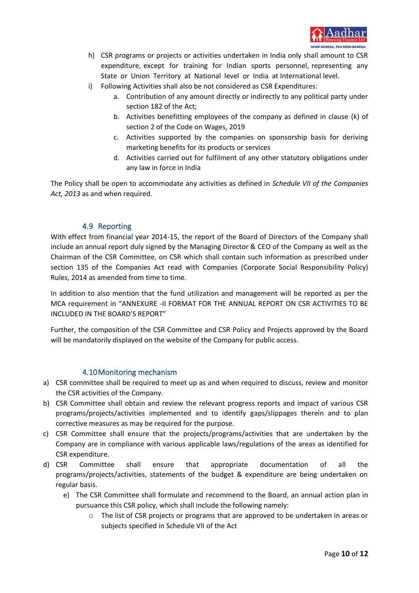

- h) CSR programs or projects or activities undertaken in India only shall amount to CSR expenditure, except for training for Indian sports personnel, representing any State or Union Territory at National level or India at International level.
- i) Following Activities shall also be not considered as CSR Expenditures:
	- a. Contribution of any amount directly or indirectly to any political party under section 182 of the Act;
	- b. Activities benefitting employees of the company as defined in clause (k) of section 2 of the Code on Wages, 2019
	- c. Activities supported by the companies on sponsorship basis for deriving marketing benefits for its products or services
	- d. Activities carried out for fulfilment of any other statutory obligations under any law in force in India

The Policy shall be open to accommodate any activities as defined in *Schedule VII of the Companies Act, 2013* as and when required.

## 4.9 Reporting

<span id="page-10-0"></span>With effect from financial year 2014-15, the report of the Board of Directors of the Company shall include an annual report duly signed by the Managing Director & CEO of the Company as well as the Chairman of the CSR Committee, on CSR which shall contain such information as prescribed under section 135 of the Companies Act read with Companies (Corporate Social Responsibility Policy) Rules, 2014 as amended from time to time.

In addition to also mention that the fund utilization and management will be reported as per the MCA requirement in "ANNEXURE -II FORMAT FOR THE ANNUAL REPORT ON CSR ACTIVITIES TO BE INCLUDED IN THE BOARD'S REPORT"

Further, the composition of the CSR Committee and CSR Policy and Projects approved by the Board will be mandatorily displayed on the website of the Company for public access.

#### 4.10Monitoring mechanism

- <span id="page-10-1"></span>a) CSR committee shall be required to meet up as and when required to discuss, review and monitor the CSR activities of the Company.
- b) CSR Committee shall obtain and review the relevant progress reports and impact of various CSR programs/projects/activities implemented and to identify gaps/slippages therein and to plan corrective measures as may be required for the purpose.
- c) CSR Committee shall ensure that the projects/programs/activities that are undertaken by the Company are in compliance with various applicable laws/regulations of the areas as identified for CSR expenditure.
- d) CSR Committee shall ensure that appropriate documentation of all the programs/projects/activities, statements of the budget & expenditure are being undertaken on regular basis.
	- e) The CSR Committee shall formulate and recommend to the Board, an annual action plan in pursuance this CSR policy, which shall include the following namely:
		- o The list of CSR projects or programs that are approved to be undertaken in areas or subjects specified in Schedule VII of the Act